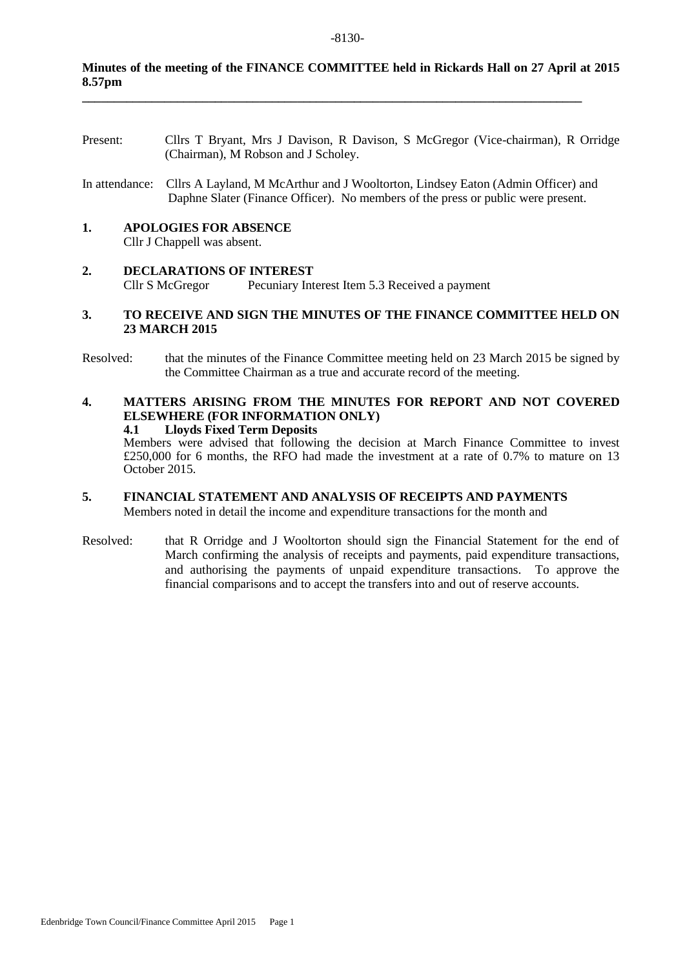#### **Minutes of the meeting of the FINANCE COMMITTEE held in Rickards Hall on 27 April at 2015 8.57pm**

**\_\_\_\_\_\_\_\_\_\_\_\_\_\_\_\_\_\_\_\_\_\_\_\_\_\_\_\_\_\_\_\_\_\_\_\_\_\_\_\_\_\_\_\_\_\_\_\_\_\_\_\_\_\_\_\_\_\_\_\_\_\_\_\_\_\_\_\_\_\_\_\_\_\_\_\_\_\_\_**

- Present: Cllrs T Bryant, Mrs J Davison, R Davison, S McGregor (Vice-chairman), R Orridge (Chairman), M Robson and J Scholey.
- In attendance: Cllrs A Layland, M McArthur and J Wooltorton, Lindsey Eaton (Admin Officer) and Daphne Slater (Finance Officer). No members of the press or public were present.

#### **1. APOLOGIES FOR ABSENCE**

Cllr J Chappell was absent.

#### **2. DECLARATIONS OF INTEREST** Cllr S McGregor Pecuniary Interest Item 5.3 Received a payment

#### **3. TO RECEIVE AND SIGN THE MINUTES OF THE FINANCE COMMITTEE HELD ON 23 MARCH 2015**

Resolved: that the minutes of the Finance Committee meeting held on 23 March 2015 be signed by the Committee Chairman as a true and accurate record of the meeting.

### **4. MATTERS ARISING FROM THE MINUTES FOR REPORT AND NOT COVERED ELSEWHERE (FOR INFORMATION ONLY)**

**4.1 Lloyds Fixed Term Deposits**

Members were advised that following the decision at March Finance Committee to invest £250,000 for 6 months, the RFO had made the investment at a rate of 0.7% to mature on 13 October 2015.

### **5. FINANCIAL STATEMENT AND ANALYSIS OF RECEIPTS AND PAYMENTS**

Members noted in detail the income and expenditure transactions for the month and

Resolved: that R Orridge and J Wooltorton should sign the Financial Statement for the end of March confirming the analysis of receipts and payments, paid expenditure transactions, and authorising the payments of unpaid expenditure transactions. To approve the financial comparisons and to accept the transfers into and out of reserve accounts.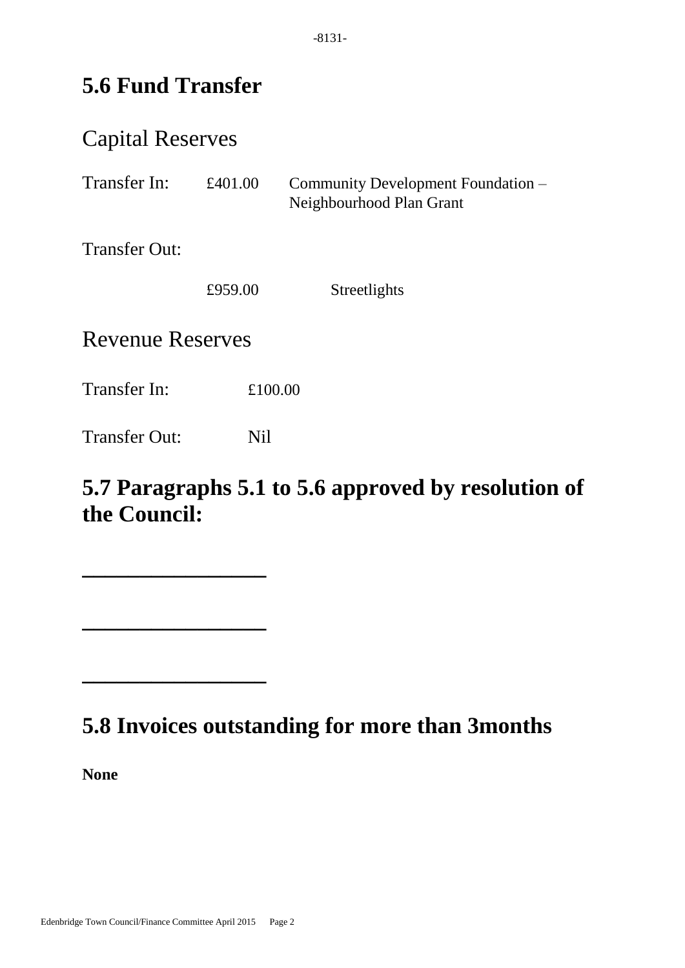# **5.6 Fund Transfer**

## Capital Reserves

| Transfer In:            | £401.00 | Community Development Foundation -<br>Neighbourhood Plan Grant |  |
|-------------------------|---------|----------------------------------------------------------------|--|
| <b>Transfer Out:</b>    |         |                                                                |  |
|                         | £959.00 | Streetlights                                                   |  |
| <b>Revenue Reserves</b> |         |                                                                |  |
| Transfer In:            |         | £100.00                                                        |  |
| <b>Transfer Out:</b>    | Nil     |                                                                |  |

# **5.7 Paragraphs 5.1 to 5.6 approved by resolution of the Council:**

## **5.8 Invoices outstanding for more than 3months**

**None**

**\_\_\_\_\_\_\_\_\_\_\_\_\_\_\_\_**

**\_\_\_\_\_\_\_\_\_\_\_\_\_\_\_\_**

**\_\_\_\_\_\_\_\_\_\_\_\_\_\_\_\_**